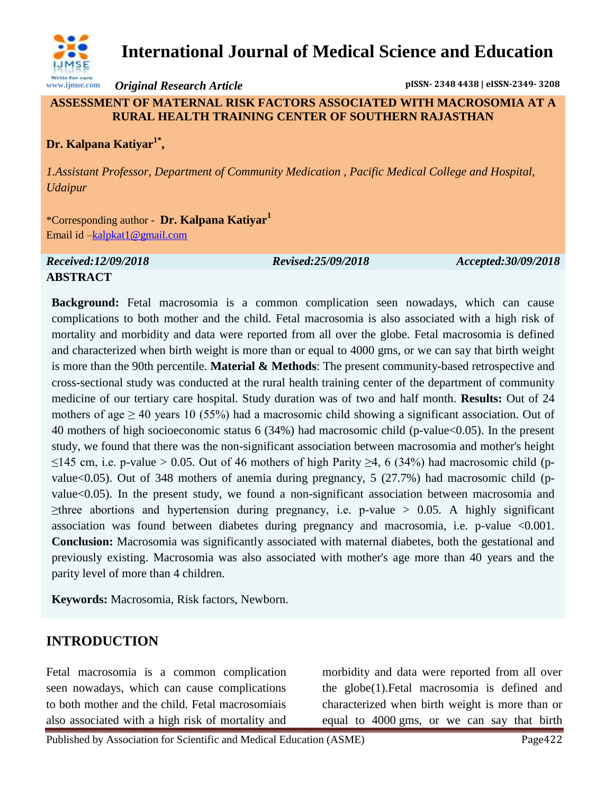

# **International Journal of Medical Science and Education**

*Original Research Article* **pISSN- 2348 4438 | eISSN-2349- 3208**

#### **ASSESSMENT OF MATERNAL RISK FACTORS ASSOCIATED WITH MACROSOMIA AT A RURAL HEALTH TRAINING CENTER OF SOUTHERN RAJASTHAN**

## **Dr. Kalpana Katiyar1\* ,**

*1.Assistant Professor, Department of Community Medication , Pacific Medical College and Hospital, Udaipur*

\*Corresponding author - **Dr. Kalpana Katiyar<sup>1</sup>** Email id [–kalpkat1@gmail.com](mailto:drabdul.sajid@gmail.com)

#### *Received:12/09/2018 Revised:25/09/2018 Accepted:30/09/2018* **ABSTRACT**

**Background:** Fetal macrosomia is a common complication seen nowadays, which can cause complications to both mother and the child. Fetal macrosomia is also associated with a high risk of mortality and morbidity and data were reported from all over the globe. Fetal macrosomia is defined and characterized when birth weight is more than or equal to 4000 gms, or we can say that birth weight is more than the 90th percentile. **Material & Methods**: The present community-based retrospective and cross-sectional study was conducted at the rural health training center of the department of community medicine of our tertiary care hospital. Study duration was of two and half month. **Results:** Out of 24 mothers of age  $\geq$  40 years 10 (55%) had a macrosomic child showing a significant association. Out of 40 mothers of high socioeconomic status 6 (34%) had macrosomic child (p-value<0.05). In the present study, we found that there was the non-significant association between macrosomia and mother's height ≤145 cm, i.e. p-value > 0.05. Out of 46 mothers of high Parity ≥4, 6 (34%) had macrosomic child (pvalue<0.05). Out of 348 mothers of anemia during pregnancy,  $5$  (27.7%) had macrosomic child (pvalue<0.05). In the present study, we found a non-significant association between macrosomia and  $\geq$ three abortions and hypertension during pregnancy, i.e. p-value  $> 0.05$ . A highly significant association was found between diabetes during pregnancy and macrosomia, i.e. p-value <0.001. **Conclusion:** Macrosomia was significantly associated with maternal diabetes, both the gestational and previously existing. Macrosomia was also associated with mother's age more than 40 years and the parity level of more than 4 children.

**Keywords:** Macrosomia, Risk factors, Newborn.

# **INTRODUCTION**

Fetal macrosomia is a common complication seen nowadays, which can cause complications to both mother and the child. Fetal macrosomiais also associated with a high risk of mortality and morbidity and data were reported from all over the globe(1).Fetal macrosomia is defined and characterized when birth weight is more than or equal to 4000 gms, or we can say that birth

Published by Association for Scientific and Medical Education (ASME) Page422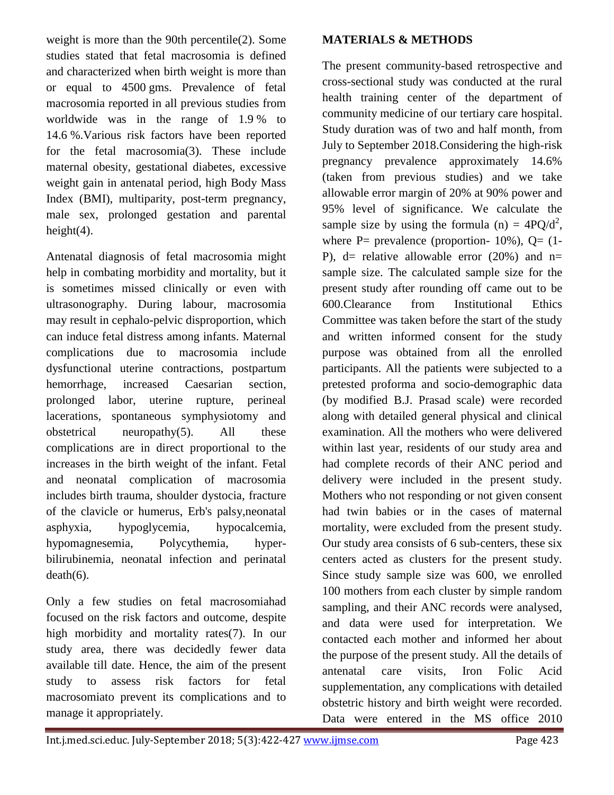weight is more than the 90th percentile(2). Some studies stated that fetal macrosomia is defined and characterized when birth weight is more than or equal to 4500 gms. Prevalence of fetal macrosomia reported in all previous studies from worldwide was in the range of 1.9 % to 14.6 %.Various risk factors have been reported for the fetal macrosomia(3). These include maternal obesity, gestational diabetes, excessive weight gain in antenatal period, high Body Mass Index (BMI), multiparity, post-term pregnancy, male sex, prolonged gestation and parental height $(4)$ .

Antenatal diagnosis of fetal macrosomia might help in combating morbidity and mortality, but it is sometimes missed clinically or even with ultrasonography. During labour, macrosomia may result in cephalo-pelvic disproportion, which can induce fetal distress among infants. Maternal complications due to macrosomia include dysfunctional uterine contractions, postpartum hemorrhage, increased Caesarian section, prolonged labor, uterine rupture, perineal lacerations, spontaneous symphysiotomy and obstetrical neuropathy(5). All these complications are in direct proportional to the increases in the birth weight of the infant. Fetal and neonatal complication of macrosomia includes birth trauma, shoulder dystocia, fracture of the clavicle or humerus, Erb's palsy,neonatal asphyxia, hypoglycemia, hypocalcemia, hypomagnesemia, Polycythemia, hyperbilirubinemia, neonatal infection and perinatal death(6).

Only a few studies on fetal macrosomiahad focused on the risk factors and outcome, despite high morbidity and mortality rates(7). In our study area, there was decidedly fewer data available till date. Hence, the aim of the present study to assess risk factors for fetal macrosomiato prevent its complications and to manage it appropriately.

#### **MATERIALS & METHODS**

The present community-based retrospective and cross-sectional study was conducted at the rural health training center of the department of community medicine of our tertiary care hospital. Study duration was of two and half month, from July to September 2018.Considering the high-risk pregnancy prevalence approximately 14.6% (taken from previous studies) and we take allowable error margin of 20% at 90% power and 95% level of significance. We calculate the sample size by using the formula (n) =  $4PQ/d^2$ , where  $P=$  prevalence (proportion- 10%),  $Q=$  (1-P), d= relative allowable error  $(20\%)$  and n= sample size. The calculated sample size for the present study after rounding off came out to be 600.Clearance from Institutional Ethics Committee was taken before the start of the study and written informed consent for the study purpose was obtained from all the enrolled participants. All the patients were subjected to a pretested proforma and socio-demographic data (by modified B.J. Prasad scale) were recorded along with detailed general physical and clinical examination. All the mothers who were delivered within last year, residents of our study area and had complete records of their ANC period and delivery were included in the present study. Mothers who not responding or not given consent had twin babies or in the cases of maternal mortality, were excluded from the present study. Our study area consists of 6 sub-centers, these six centers acted as clusters for the present study. Since study sample size was 600, we enrolled 100 mothers from each cluster by simple random sampling, and their ANC records were analysed, and data were used for interpretation. We contacted each mother and informed her about the purpose of the present study. All the details of antenatal care visits, Iron Folic Acid supplementation, any complications with detailed obstetric history and birth weight were recorded. Data were entered in the MS office 2010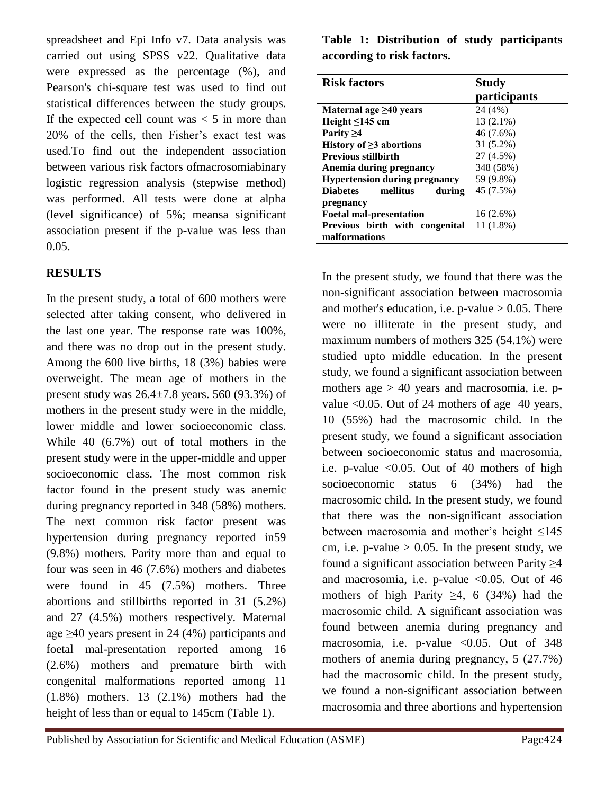spreadsheet and Epi Info v7. Data analysis was carried out using SPSS v22. Qualitative data were expressed as the percentage (%), and Pearson's chi-square test was used to find out statistical differences between the study groups. If the expected cell count was  $< 5$  in more than 20% of the cells, then Fisher's exact test was used.To find out the independent association between various risk factors ofmacrosomiabinary logistic regression analysis (stepwise method) was performed. All tests were done at alpha (level significance) of 5%; meansa significant association present if the p-value was less than 0.05.

## **RESULTS**

In the present study, a total of 600 mothers were selected after taking consent, who delivered in the last one year. The response rate was 100%, and there was no drop out in the present study. Among the 600 live births, 18 (3%) babies were overweight. The mean age of mothers in the present study was  $26.4 \pm 7.8$  years. 560 (93.3%) of mothers in the present study were in the middle, lower middle and lower socioeconomic class. While 40 (6.7%) out of total mothers in the present study were in the upper-middle and upper socioeconomic class. The most common risk factor found in the present study was anemic during pregnancy reported in 348 (58%) mothers. The next common risk factor present was hypertension during pregnancy reported in59 (9.8%) mothers. Parity more than and equal to four was seen in 46 (7.6%) mothers and diabetes were found in 45 (7.5%) mothers. Three abortions and stillbirths reported in 31 (5.2%) and 27 (4.5%) mothers respectively. Maternal age  $\geq$ 40 years present in 24 (4%) participants and foetal mal-presentation reported among 16 (2.6%) mothers and premature birth with congenital malformations reported among 11 (1.8%) mothers. 13 (2.1%) mothers had the height of less than or equal to 145cm (Table 1).

**Table 1: Distribution of study participants according to risk factors.**

| <b>Risk factors</b>                   | <b>Study</b>        |
|---------------------------------------|---------------------|
|                                       | <i>participants</i> |
| Maternal age $\geq 40$ years          | 24 (4%)             |
| Height $\leq$ 145 cm                  | 13 (2.1%)           |
| Parity $\geq 4$                       | 46 (7.6%)           |
| History of $\geq$ 3 abortions         | 31 (5.2%)           |
| <b>Previous stillbirth</b>            | 27 (4.5%)           |
| Anemia during pregnancy               | 348 (58%)           |
| <b>Hypertension during pregnancy</b>  | 59 (9.8%)           |
| <b>Diabetes</b><br>mellitus<br>during | 45 (7.5%)           |
| pregnancy                             |                     |
| <b>Foetal mal-presentation</b>        | $16(2.6\%)$         |
| Previous birth with congenital        | $11(1.8\%)$         |
| malformations                         |                     |

In the present study, we found that there was the non-significant association between macrosomia and mother's education, i.e.  $p$ -value  $> 0.05$ . There were no illiterate in the present study, and maximum numbers of mothers 325 (54.1%) were studied upto middle education. In the present study, we found a significant association between mothers age  $> 40$  years and macrosomia, i.e. pvalue <0.05. Out of 24 mothers of age 40 years, 10 (55%) had the macrosomic child. In the present study, we found a significant association between socioeconomic status and macrosomia, i.e. p-value  $\leq 0.05$ . Out of 40 mothers of high socioeconomic status 6 (34%) had the macrosomic child. In the present study, we found that there was the non-significant association between macrosomia and mother's height ≤145 cm, i.e. p-value  $> 0.05$ . In the present study, we found a significant association between Parity  $\geq$ 4 and macrosomia, i.e. p-value  $\langle 0.05, 0$ ut of 46 mothers of high Parity  $\geq 4$ , 6 (34%) had the macrosomic child. A significant association was found between anemia during pregnancy and macrosomia, i.e. p-value <0.05. Out of 348 mothers of anemia during pregnancy, 5 (27.7%) had the macrosomic child. In the present study, we found a non-significant association between macrosomia and three abortions and hypertension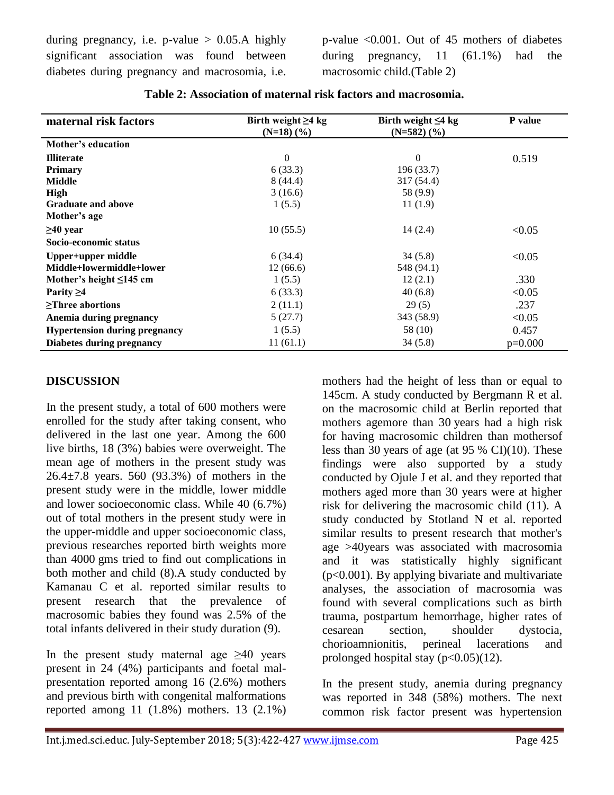during pregnancy, i.e.  $p$ -value  $> 0.05.A$  highly significant association was found between diabetes during pregnancy and macrosomia, i.e. p-value <0.001. Out of 45 mothers of diabetes during pregnancy, 11 (61.1%) had the macrosomic child.(Table 2)

| maternal risk factors                | Birth weight $\geq 4$ kg<br>$(N=18)$ $(\frac{9}{6})$ | Birth weight $\leq 4$ kg<br>$(N=582)$ $(\frac{9}{6})$ | P value   |
|--------------------------------------|------------------------------------------------------|-------------------------------------------------------|-----------|
| Mother's education                   |                                                      |                                                       |           |
| <b>Illiterate</b>                    | $\mathbf{0}$                                         | $\Omega$                                              | 0.519     |
| <b>Primary</b>                       | 6(33.3)                                              | 196 (33.7)                                            |           |
| <b>Middle</b>                        | 8(44.4)                                              | 317 (54.4)                                            |           |
| High                                 | 3(16.6)                                              | 58 (9.9)                                              |           |
| <b>Graduate and above</b>            | 1(5.5)                                               | 11(1.9)                                               |           |
| Mother's age                         |                                                      |                                                       |           |
| $\geq 40$ year                       | 10(55.5)                                             | 14(2.4)                                               | < 0.05    |
| Socio-economic status                |                                                      |                                                       |           |
| Upper+upper middle                   | 6(34.4)                                              | 34(5.8)                                               | < 0.05    |
| Middle+lowermiddle+lower             | 12(66.6)                                             | 548 (94.1)                                            |           |
| Mother's height $\leq$ 145 cm        | 1(5.5)                                               | 12(2.1)                                               | .330      |
| Parity $\geq 4$                      | 6(33.3)                                              | 40(6.8)                                               | < 0.05    |
| >Three abortions                     | 2(11.1)                                              | 29(5)                                                 | .237      |
| Anemia during pregnancy              | 5(27.7)                                              | 343 (58.9)                                            | < 0.05    |
| <b>Hypertension during pregnancy</b> | 1(5.5)                                               | 58 (10)                                               | 0.457     |
| Diabetes during pregnancy            | 11(61.1)                                             | 34(5.8)                                               | $p=0.000$ |

| Table 2: Association of maternal risk factors and macrosomia. |  |
|---------------------------------------------------------------|--|
|                                                               |  |

#### **DISCUSSION**

In the present study, a total of 600 mothers were enrolled for the study after taking consent, who delivered in the last one year. Among the 600 live births, 18 (3%) babies were overweight. The mean age of mothers in the present study was 26.4±7.8 years. 560 (93.3%) of mothers in the present study were in the middle, lower middle and lower socioeconomic class. While 40 (6.7%) out of total mothers in the present study were in the upper-middle and upper socioeconomic class, previous researches reported birth weights more than 4000 gms tried to find out complications in both mother and child (8).A study conducted by Kamanau C et al. reported similar results to present research that the prevalence of macrosomic babies they found was 2.5% of the total infants delivered in their study duration (9).

In the present study maternal age  $\geq 40$  years present in 24 (4%) participants and foetal malpresentation reported among 16 (2.6%) mothers and previous birth with congenital malformations reported among 11 (1.8%) mothers. 13 (2.1%) mothers had the height of less than or equal to 145cm. A study conducted by Bergmann R et al. on the macrosomic child at Berlin reported that mothers agemore than 30 years had a high risk for having macrosomic children than mothersof less than 30 years of age (at 95 % CI)(10). These findings were also supported by a study conducted by Ojule J et al. and they reported that mothers aged more than 30 years were at higher risk for delivering the macrosomic child (11). A study conducted by Stotland N et al. reported similar results to present research that mother's age >40years was associated with macrosomia and it was statistically highly significant (p<0.001). By applying bivariate and multivariate analyses, the association of macrosomia was found with several complications such as birth trauma, postpartum hemorrhage, higher rates of cesarean section, shoulder dystocia, chorioamnionitis, perineal lacerations and prolonged hospital stay  $(p<0.05)(12)$ .

In the present study, anemia during pregnancy was reported in 348 (58%) mothers. The next common risk factor present was hypertension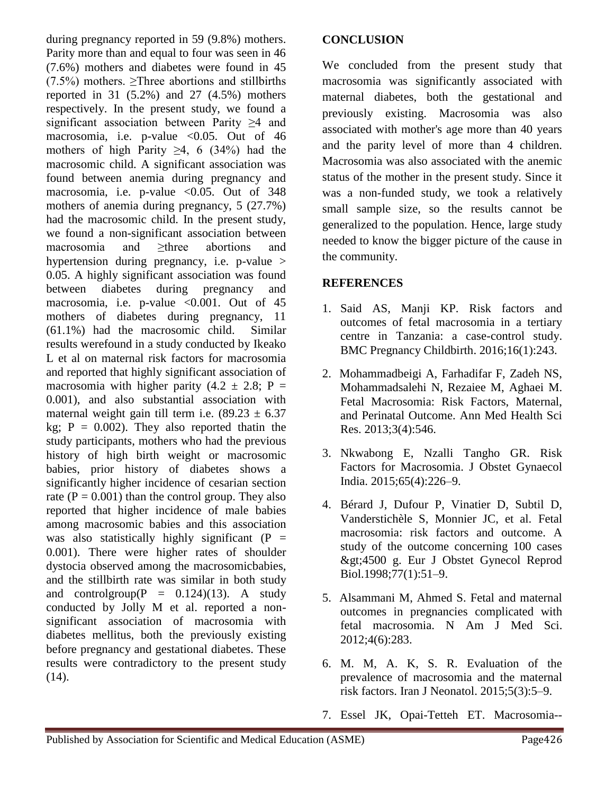during pregnancy reported in 59 (9.8%) mothers. Parity more than and equal to four was seen in 46 (7.6%) mothers and diabetes were found in 45  $(7.5\%)$  mothers.  $\geq$ Three abortions and stillbirths reported in 31  $(5.2\%)$  and 27  $(4.5\%)$  mothers respectively. In the present study, we found a significant association between Parity ≥4 and macrosomia, i.e. p-value  $< 0.05$ . Out of 46 mothers of high Parity  $\geq 4$ , 6 (34%) had the macrosomic child. A significant association was found between anemia during pregnancy and macrosomia, i.e. p-value <0.05. Out of 348 mothers of anemia during pregnancy, 5 (27.7%) had the macrosomic child. In the present study, we found a non-significant association between macrosomia and ≥three abortions and hypertension during pregnancy, i.e. p-value > 0.05. A highly significant association was found between diabetes during pregnancy and macrosomia, i.e. p-value  $\leq 0.001$ . Out of 45 mothers of diabetes during pregnancy, 11 (61.1%) had the macrosomic child. Similar results werefound in a study conducted by Ikeako L et al on maternal risk factors for macrosomia and reported that highly significant association of macrosomia with higher parity  $(4.2 \pm 2.8; P =$ 0.001), and also substantial association with maternal weight gain till term i.e.  $(89.23 \pm 6.37)$ kg;  $P = 0.002$ ). They also reported that the study participants, mothers who had the previous history of high birth weight or macrosomic babies, prior history of diabetes shows a significantly higher incidence of cesarian section rate ( $P = 0.001$ ) than the control group. They also reported that higher incidence of male babies among macrosomic babies and this association was also statistically highly significant  $(P =$ 0.001). There were higher rates of shoulder dystocia observed among the macrosomicbabies, and the stillbirth rate was similar in both study and controlgroup( $P = 0.124$ )(13). A study conducted by Jolly M et al. reported a nonsignificant association of macrosomia with diabetes mellitus, both the previously existing before pregnancy and gestational diabetes. These results were contradictory to the present study  $(14)$ .

## **CONCLUSION**

We concluded from the present study that macrosomia was significantly associated with maternal diabetes, both the gestational and previously existing. Macrosomia was also associated with mother's age more than 40 years and the parity level of more than 4 children. Macrosomia was also associated with the anemic status of the mother in the present study. Since it was a non-funded study, we took a relatively small sample size, so the results cannot be generalized to the population. Hence, large study needed to know the bigger picture of the cause in the community.

## **REFERENCES**

- 1. Said AS, Manji KP. Risk factors and outcomes of fetal macrosomia in a tertiary centre in Tanzania: a case-control study. BMC Pregnancy Childbirth. 2016;16(1):243.
- 2. Mohammadbeigi A, Farhadifar F, Zadeh NS, Mohammadsalehi N, Rezaiee M, Aghaei M. Fetal Macrosomia: Risk Factors, Maternal, and Perinatal Outcome. Ann Med Health Sci Res. 2013;3(4):546.
- 3. Nkwabong E, Nzalli Tangho GR. Risk Factors for Macrosomia. J Obstet Gynaecol India. 2015;65(4):226–9.
- 4. Bérard J, Dufour P, Vinatier D, Subtil D, Vanderstichèle S, Monnier JC, et al. Fetal macrosomia: risk factors and outcome. A study of the outcome concerning 100 cases >4500 g. Eur J Obstet Gynecol Reprod Biol.1998;77(1):51–9.
- 5. Alsammani M, Ahmed S. Fetal and maternal outcomes in pregnancies complicated with fetal macrosomia. N Am J Med Sci. 2012;4(6):283.
- 6. M. M, A. K, S. R. Evaluation of the prevalence of macrosomia and the maternal risk factors. Iran J Neonatol. 2015;5(3):5–9.
- 7. Essel JK, Opai-Tetteh ET. Macrosomia--